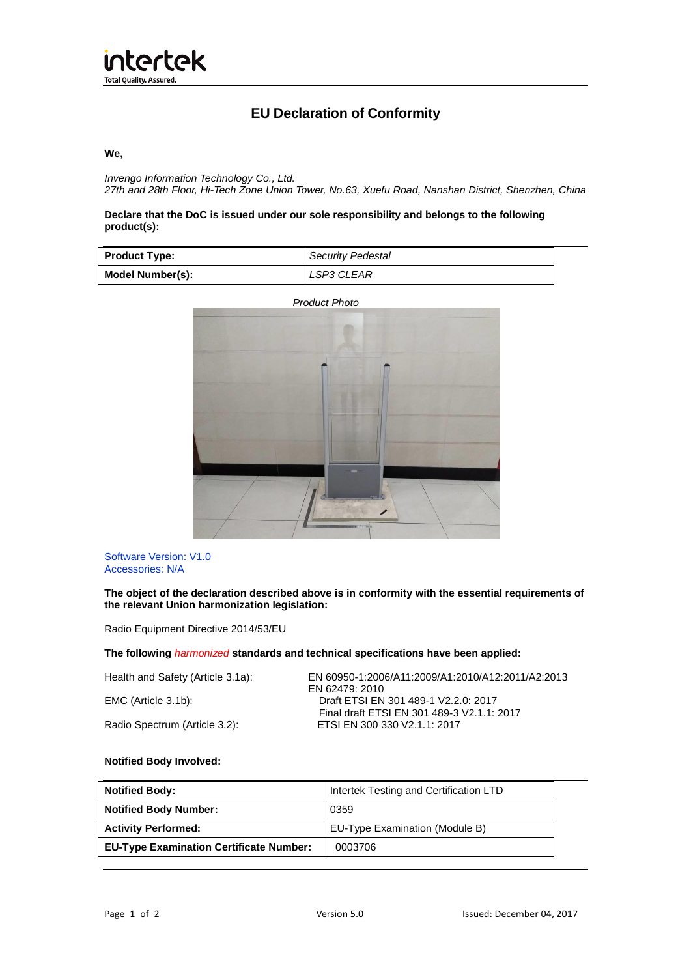

# **EU Declaration of Conformity**

#### **We,**

*Invengo Information Technology Co., Ltd. 27th and 28th Floor, Hi-Tech Zone Union Tower, No.63, Xuefu Road, Nanshan District, Shenzhen, China*

## **Declare that the DoC is issued under our sole responsibility and belongs to the following product(s):**

| <b>Product Type:</b> | <b>Security Pedestal</b> |
|----------------------|--------------------------|
| Model Number(s):     | LSP3 CLEAR               |

 *Product Photo* 



Software Version: V1.0 Accessories: N/A

**The object of the declaration described above is in conformity with the essential requirements of the relevant Union harmonization legislation:**

Radio Equipment Directive 2014/53/EU

## **The following** *harmonized* **standards and technical specifications have been applied:**

| Health and Safety (Article 3.1a): | EN 60950-1:2006/A11:2009/A1:2010/A12:2011/A2:2013<br>EN 62479: 2010        |
|-----------------------------------|----------------------------------------------------------------------------|
| EMC (Article 3.1b):               | Draft ETSI EN 301 489-1 V2.2.0: 2017                                       |
| Radio Spectrum (Article 3.2):     | Final draft ETSI EN 301 489-3 V2.1.1: 2017<br>ETSI EN 300 330 V2.1.1: 2017 |

#### **Notified Body Involved:**

| <b>Notified Body:</b>                          | Intertek Testing and Certification LTD |
|------------------------------------------------|----------------------------------------|
| <b>Notified Body Number:</b>                   | 0359                                   |
| <b>Activity Performed:</b>                     | EU-Type Examination (Module B)         |
| <b>EU-Type Examination Certificate Number:</b> | 0003706                                |